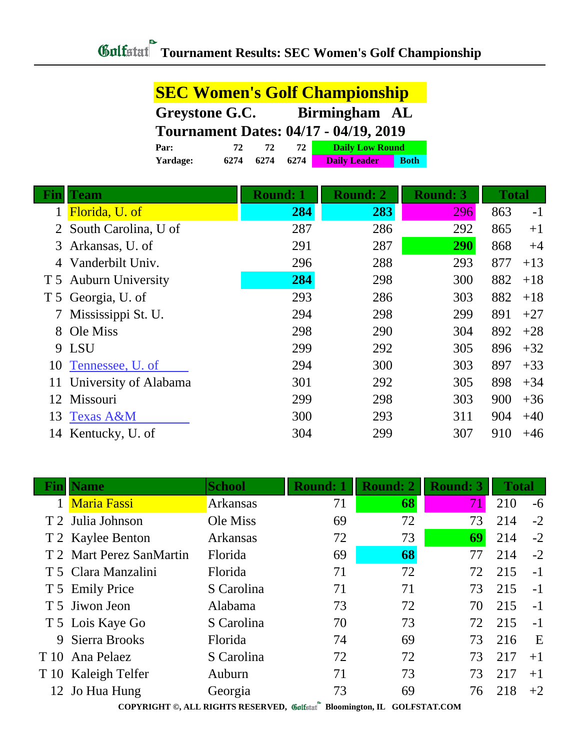|                | <b>SEC Women's Golf Championship</b> |                 |                                              |                 |              |       |
|----------------|--------------------------------------|-----------------|----------------------------------------------|-----------------|--------------|-------|
|                | Greystone G.C.<br>Birmingham AL      |                 |                                              |                 |              |       |
|                |                                      |                 | <b>Tournament Dates: 04/17 - 04/19, 2019</b> |                 |              |       |
|                | 72<br>Par:                           | 72<br>72        | <b>Daily Low Round</b>                       |                 |              |       |
|                | 6274<br>Yardage:                     | 6274<br>6274    | <b>Daily Leader</b><br><b>Both</b>           |                 |              |       |
| Fin            | <b>Team</b>                          | <b>Round: 1</b> | <b>Round: 2</b>                              | <b>Round: 3</b> | <b>Total</b> |       |
|                | Florida, U. of                       | 284             | 283                                          | 296             | 863          | $-1$  |
|                | South Carolina, U of                 | 287             | 286                                          | 292             | 865          | $+1$  |
| 3              | Arkansas, U. of                      | 291             | 287                                          | 290             | 868          | $+4$  |
|                | Vanderbilt Univ.                     | 296             | 288                                          | 293             | 877          | $+13$ |
| T <sub>5</sub> | <b>Auburn University</b>             | 284             | 298                                          | 300             | 882          | $+18$ |
| T <sub>5</sub> | Georgia, U. of                       | 293             | 286                                          | 303             | 882          | $+18$ |
|                | Mississippi St. U.                   | 294             | 298                                          | 299             | 891          | $+27$ |
| 8              | Ole Miss                             | 298             | 290                                          | 304             | 892          | $+28$ |
|                | 9 LSU                                | 299             | 292                                          | 305             | 896          | $+32$ |
| 10             | Tennessee, U. of                     | 294             | 300                                          | 303             | 897          | $+33$ |
| 11             | University of Alabama                | 301             | 292                                          | 305             | 898          | $+34$ |
| 12             | Missouri                             | 299             | 298                                          | 303             | 900          | $+36$ |
| 13             | <b>Texas A&amp;M</b>                 | 300             | 293                                          | 311             | 904          | $+40$ |
|                | 14 Kentucky, U. of                   | 304             | 299                                          | 307             | 910          | $+46$ |

| <b>Name</b>              | <b>School</b>   | <b>Round: 1</b> | <b>Round: 2</b>            | <b>Round: 3</b> |     |       |
|--------------------------|-----------------|-----------------|----------------------------|-----------------|-----|-------|
| <b>Maria Fassi</b>       | <b>Arkansas</b> | 71              | 68                         | 71              | 210 | $-6$  |
| T 2 Julia Johnson        | Ole Miss        | 69              | 72                         | 73              | 214 | $-2$  |
| T 2 Kaylee Benton        | <b>Arkansas</b> | 72              | 73                         | 69              | 214 | $-2$  |
| T 2 Mart Perez SanMartin | Florida         | 69              | 68                         | 77              | 214 | $-2$  |
| T 5 Clara Manzalini      | Florida         | 71              | 72                         | 72              | 215 | $-1$  |
| T 5 Emily Price          | S Carolina      | 71              | 71                         | 73              | 215 | $-1$  |
| T 5 Jiwon Jeon           | Alabama         | 73              | 72                         | 70              | 215 | $-1$  |
| T 5 Lois Kaye Go         | S Carolina      | 70              | 73                         | 72              | 215 | $-1$  |
| Sierra Brooks            | Florida         | 74              | 69                         | 73              | 216 | E     |
| Ana Pelaez<br>T 10       | S Carolina      | 72              | 72                         | 73              | 217 | $+1$  |
| T 10 Kaleigh Telfer      | Auburn          | 71              | 73                         | 73              | 217 | $+1$  |
| 12 Jo Hua Hung           | Georgia         | 73              | 69                         | 76              | 218 | $+2$  |
|                          |                 |                 | $177$ measured measurement |                 |     | Total |

**COPYRIGHT ©, ALL RIGHTS RESERVED, Bloomington, IL GOLFSTAT.COM**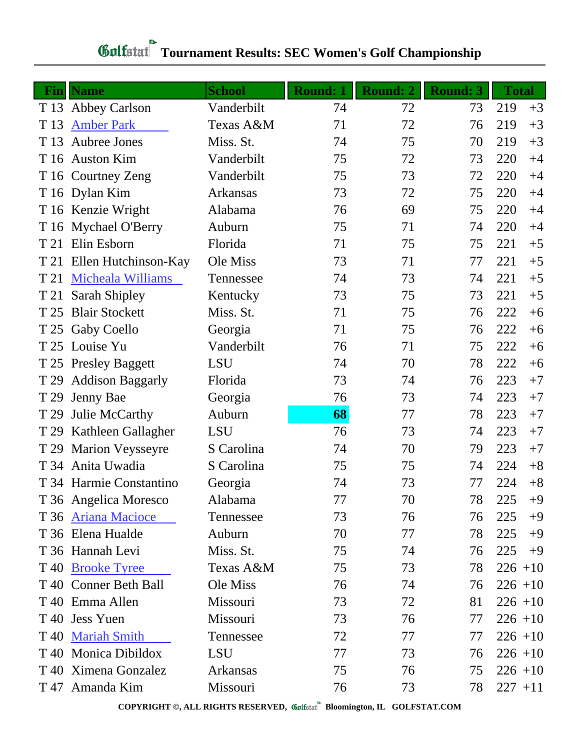| Fin  | <b>Name</b>             | <b>School</b> | <b>Round: 1</b> | <b>Round: 2</b> | <b>Round: 3</b> | <b>Total</b> |            |
|------|-------------------------|---------------|-----------------|-----------------|-----------------|--------------|------------|
| T 13 | <b>Abbey Carlson</b>    | Vanderbilt    | 74              | 72              | 73              | 219          | $+3$       |
| T 13 | <b>Amber Park</b>       | Texas A&M     | 71              | 72              | 76              | 219          | $+3$       |
| T 13 | <b>Aubree Jones</b>     | Miss. St.     | 74              | 75              | 70              | 219          | $+3$       |
|      | T 16 Auston Kim         | Vanderbilt    | 75              | 72              | 73              | 220          | $+4$       |
|      | T 16 Courtney Zeng      | Vanderbilt    | 75              | 73              | 72              | 220          | $+4$       |
|      | T 16 Dylan Kim          | Arkansas      | 73              | 72              | 75              | 220          | $+4$       |
|      | T 16 Kenzie Wright      | Alabama       | 76              | 69              | 75              | 220          | $+4$       |
|      | T 16 Mychael O'Berry    | Auburn        | 75              | 71              | 74              | 220          | $+4$       |
| T 21 | Elin Esborn             | Florida       | 71              | 75              | 75              | 221          | $+5$       |
| T 21 | Ellen Hutchinson-Kay    | Ole Miss      | 73              | 71              | 77              | 221          | $+5$       |
| T 21 | Micheala Williams       | Tennessee     | 74              | 73              | 74              | 221          | $+5$       |
| T 21 | Sarah Shipley           | Kentucky      | 73              | 75              | 73              | 221          | $+5$       |
| T 25 | <b>Blair Stockett</b>   | Miss. St.     | 71              | 75              | 76              | 222          | $+6$       |
| T 25 | <b>Gaby Coello</b>      | Georgia       | 71              | 75              | 76              | 222          | $+6$       |
|      | T 25 Louise Yu          | Vanderbilt    | 76              | 71              | 75              | 222          | $+6$       |
|      | T 25 Presley Baggett    | <b>LSU</b>    | 74              | 70              | 78              | 222          | $+6$       |
| T 29 | <b>Addison Baggarly</b> | Florida       | 73              | 74              | 76              | 223          | $+7$       |
| T 29 | Jenny Bae               | Georgia       | 76              | 73              | 74              | 223          | $+7$       |
| T 29 | Julie McCarthy          | Auburn        | 68              | 77              | 78              | 223          | $+7$       |
| T 29 | Kathleen Gallagher      | <b>LSU</b>    | 76              | 73              | 74              | 223          | $+7$       |
| T 29 | <b>Marion Veysseyre</b> | S Carolina    | 74              | 70              | 79              | 223          | $+7$       |
|      | T 34 Anita Uwadia       | S Carolina    | 75              | 75              | 74              | 224          | $+8$       |
|      | T 34 Harmie Constantino | Georgia       | 74              | 73              | 77              | 224          | $+8$       |
|      | T 36 Angelica Moresco   | Alabama       | 77              | 70              | 78              | 225          | $+9$       |
|      | T 36 Ariana Macioce     | Tennessee     | 73              | 76              | 76              | 225          | $+9$       |
|      | T 36 Elena Hualde       | Auburn        | 70              | 77              | 78              | 225          | $+9$       |
|      | T 36 Hannah Levi        | Miss. St.     | 75              | 74              | 76              | 225          | $+9$       |
| T 40 | <b>Brooke Tyree</b>     | Texas A&M     | 75              | 73              | 78              | $226 + 10$   |            |
|      | T 40 Conner Beth Ball   | Ole Miss      | 76              | 74              | 76              |              | $226 + 10$ |
|      | T 40 Emma Allen         | Missouri      | 73              | 72              | 81              |              | $226 + 10$ |
| T 40 | <b>Jess Yuen</b>        | Missouri      | 73              | 76              | 77              |              | $226 + 10$ |
| T 40 | <b>Mariah Smith</b>     | Tennessee     | 72              | 77              | 77              | $226 + 10$   |            |
| T 40 | Monica Dibildox         | <b>LSU</b>    | 77              | 73              | 76              |              | $226 + 10$ |
| T 40 | Ximena Gonzalez         | Arkansas      | 75              | 76              | 75              |              | $226 + 10$ |
|      | T 47 Amanda Kim         | Missouri      | 76              | 73              | 78              | $227 + 11$   |            |

## **Gulfatat** Tournament Results: SEC Women's Golf Championship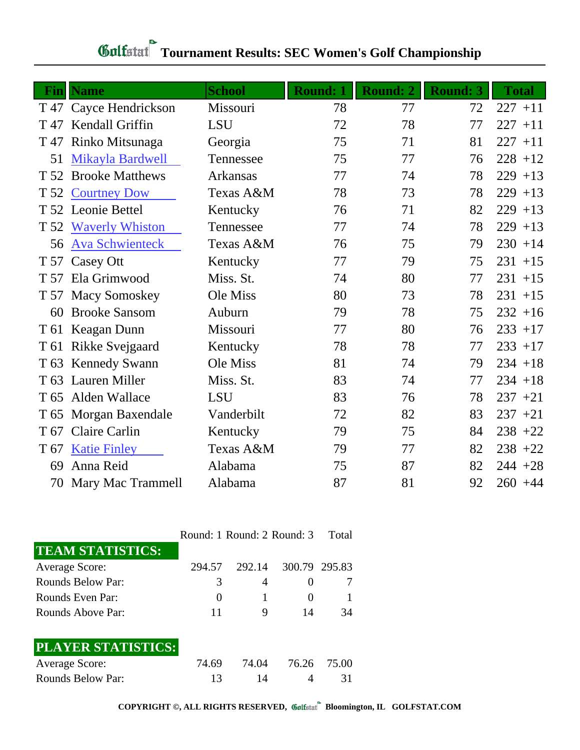| Fin             | <b>Name</b>                    | <b>School</b>         | <b>Round: 1</b> | <b>Round: 2</b> | <b>Round: 3</b> | <b>Total</b> |
|-----------------|--------------------------------|-----------------------|-----------------|-----------------|-----------------|--------------|
|                 | T 47 Cayce Hendrickson         | Missouri              | 78              | 77              | 72              | $227 + 11$   |
| T 47            | Kendall Griffin                | <b>LSU</b>            | 72              | 78              | 77              | $227 + 11$   |
| T 47            | Rinko Mitsunaga                | Georgia               | 75              | 71              | 81              | $227 + 11$   |
| 51              | Mikayla Bardwell               | Tennessee             | 75              | 77              | 76              | $228 + 12$   |
| T 52            | <b>Brooke Matthews</b>         | Arkansas              | 77              | 74              | 78              | $229 + 13$   |
| T 52            | <b>Courtney Dow</b>            | Texas A&M             | 78              | 73              | 78              | $229 + 13$   |
|                 | T 52 Leonie Bettel             | Kentucky              | 76              | 71              | 82              | $229 + 13$   |
|                 | T 52 Waverly Whiston           | Tennessee             | 77              | 74              | 78              | $229 + 13$   |
| 56              | <b>Ava Schwienteck</b>         | Texas A&M             | 76              | 75              | 79              | $230 + 14$   |
|                 |                                |                       | 77              | 79              | 75              | $231 + 15$   |
| T 57            | T 57 Casey Ott<br>Ela Grimwood | Kentucky<br>Miss. St. | 74              | 80              | 77              |              |
|                 |                                |                       |                 |                 |                 | $231 + 15$   |
|                 | T 57 Macy Somoskey             | Ole Miss              | 80              | 73              | 78              | $231 + 15$   |
| 60              | <b>Brooke Sansom</b>           | Auburn                | 79              | 78              | 75              | $232 + 16$   |
| T 61            | Keagan Dunn                    | Missouri              | 77              | 80              | 76              | $233 + 17$   |
| T 61            | Rikke Svejgaard                | Kentucky              | 78              | 78              | 77              | $233 + 17$   |
| T <sub>63</sub> | <b>Kennedy Swann</b>           | Ole Miss              | 81              | 74              | 79              | $234 + 18$   |
| T <sub>63</sub> | Lauren Miller                  | Miss. St.             | 83              | 74              | 77              | $234 + 18$   |
| T 65            | Alden Wallace                  | <b>LSU</b>            | 83              | 76              | 78              | $237 + 21$   |
| T 65            | Morgan Baxendale               | Vanderbilt            | 72              | 82              | 83              | $237 + 21$   |
| T 67            | <b>Claire Carlin</b>           | Kentucky              | 79              | 75              | 84              | $238 + 22$   |
| T 67            | <b>Katie Finley</b>            | Texas A&M             | 79              | 77              | 82              | $238 + 22$   |
| 69              | Anna Reid                      | Alabama               | 75              | 87              | 82              | $244 + 28$   |
|                 | 70 Mary Mac Trammell           | Alabama               | 87              | 81              | 92              | $260 + 44$   |

| <b>Gulfatat Tournament Results: SEC Women's Golf Championship</b> |
|-------------------------------------------------------------------|

|                           | Round: 1 Round: 2 Round: 3 |        |               | Total |
|---------------------------|----------------------------|--------|---------------|-------|
| <b>TEAM STATISTICS:</b>   |                            |        |               |       |
| <b>Average Score:</b>     | 294.57                     | 292.14 | 300.79 295.83 |       |
| <b>Rounds Below Par:</b>  | 3                          | 4      | $\theta$      |       |
| Rounds Even Par:          | $\theta$                   |        | $\theta$      | 1     |
| Rounds Above Par:         | 11                         | 9      | 14            | 34    |
| <b>PLAYER STATISTICS:</b> |                            |        |               |       |
| <b>Average Score:</b>     | 74.69                      | 74.04  | 76.26         | 75.00 |
| <b>Rounds Below Par:</b>  | 13                         | 14     |               | 31    |